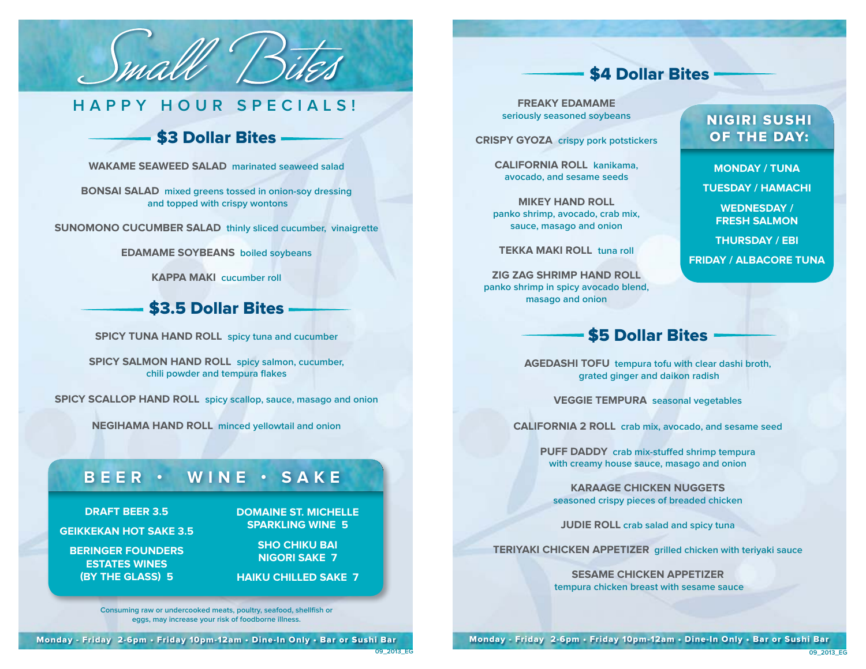

# **HAPPY HOUR SPECIALS!**

## \$3 Dollar Bites -

**Wakame Seaweed Salad marinated seaweed salad**

**Bonsai Salad mixed greens tossed in onion-soy dressing and topped with crispy wontons**

**Sunomono Cucumber Salad thinly sliced cucumber, vinaigrette**

**Edamame Soybeans boiled soybeans**

**Kappa Maki cucumber roll**

#### \$3.5 Dollar Bites

**Spicy Tuna Hand Roll spicy tuna and cucumber**

**Spicy Salmon Hand Roll spicy salmon, cucumber, chili powder and tempura flakes**

**Spicy Scallop Hand Roll spicy scallop, sauce, masago and onion**

**Negihama Hand Roll minced yellowtail and onion**

## **Beer • W ine • Sak e**

**Domaine St. MICHELLE sparkling wine 5**

> **Sho Chiku Bai Nigori Sake 7**

#### **Beringer Founders Estates Wines**

**Draft Beer 3.5 Geikkekan Hot Sake 3.5**

**(by the Glass) 5**

**Haiku Chilled Sake 7**

**Consuming raw or undercooked meats, poultry, seafood, shellfish or eggs, may increase your risk of foodborne illness.**

#### \$4 Dollar Bites -

**Monday / TUNA Tuesday / HAMACHI Wednesday / FRESH SALMON Thursday / EBI Friday / ALBACORE TUNA**

NIGIRI SUSHI OF THE DAY:

**Freaky Edamame seriously seasoned soybeans**

**Crispy Gyoza crispy pork potstickers**

**California Roll kanikama, avocado, and sesame seeds**

**Mikey Hand Roll panko shrimp, avocado, crab mix, sauce, masago and onion**

**Tekka Maki Roll tuna roll**

**Zig Zag Shrimp Hand Roll panko shrimp in spicy avocado blend, masago and onion**

## \$5 Dollar Bites

**Agedashi Tofu tempura tofu with clear dashi broth, grated ginger and daikon radish**

**Veggie Tempura seasonal vegetables**

**California 2 Roll crab mix, avocado, and sesame seed**

**Puff Daddy crab mix-stuffed shrimp tempura with creamy house sauce, masago and onion**

**Karaage Chicken Nuggets seasoned crispy pieces of breaded chicken**

**JUDIE ROLL** crab salad and spicy tuna

**Teriyaki Chicken Appetizer grilled chicken with teriyaki sauce**

**Sesame Chicken Appetizer tempura chicken breast with sesame sauce**

Monday - Friday 2-6pm • Friday 10pm-12am • Dine-In Only • Bar or Sushi Bar

Monday - Friday 2-6pm • Friday 10pm-12am • Dine-In Only • Bar or Sushi Bar